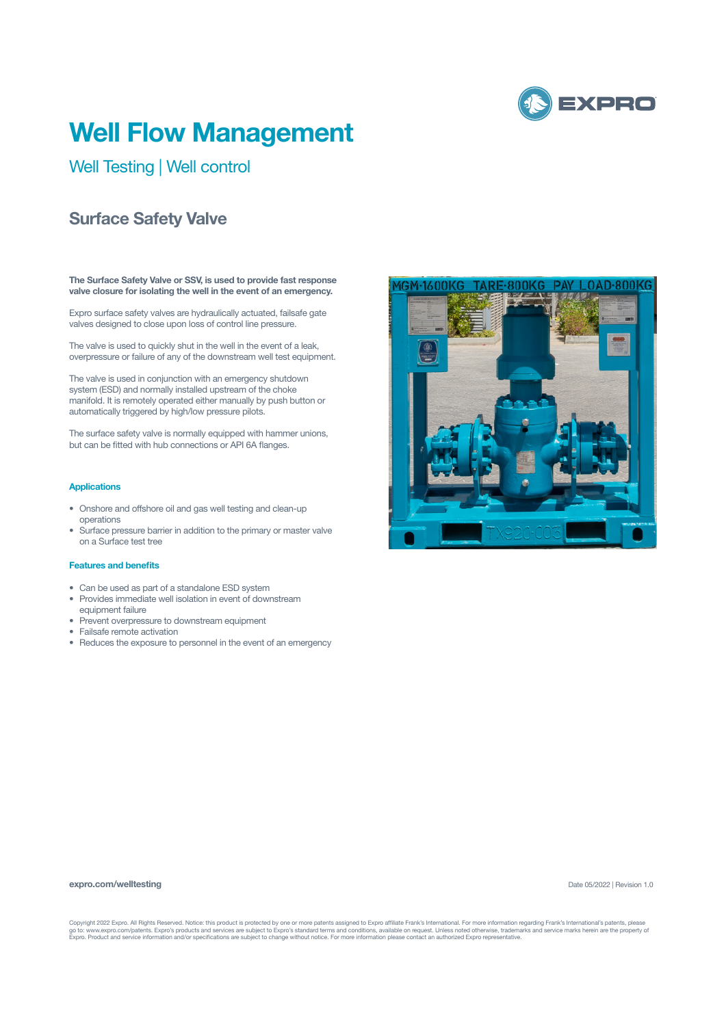

# **Well Flow Management**

Well Testing | Well control

# **Surface Safety Valve**

**The Surface Safety Valve or SSV, is used to provide fast response valve closure for isolating the well in the event of an emergency.**

Expro surface safety valves are hydraulically actuated, failsafe gate valves designed to close upon loss of control line pressure.

The valve is used to quickly shut in the well in the event of a leak. overpressure or failure of any of the downstream well test equipment.

The valve is used in conjunction with an emergency shutdown system (ESD) and normally installed upstream of the choke manifold. It is remotely operated either manually by push button or automatically triggered by high/low pressure pilots.

The surface safety valve is normally equipped with hammer unions, but can be fitted with hub connections or API 6A flanges.

## **Applications**

- Onshore and offshore oil and gas well testing and clean-up operations
- Surface pressure barrier in addition to the primary or master valve on a Surface test tree

### **Features and benefits**

- Can be used as part of a standalone ESD system
- Provides immediate well isolation in event of downstream equipment failure
- Prevent overpressure to downstream equipment
- Failsafe remote activation
- Reduces the exposure to personnel in the event of an emergency



#### **expro.com/welltesting**

Date 05/2022 | Revision 1.0

Copyright 2022 Expro. All Rights Reserved. Notice: this product is protected by one or more patents assigned to Expro affiliate Frank's International. For more information regarding Frank's International's patents, please<br>